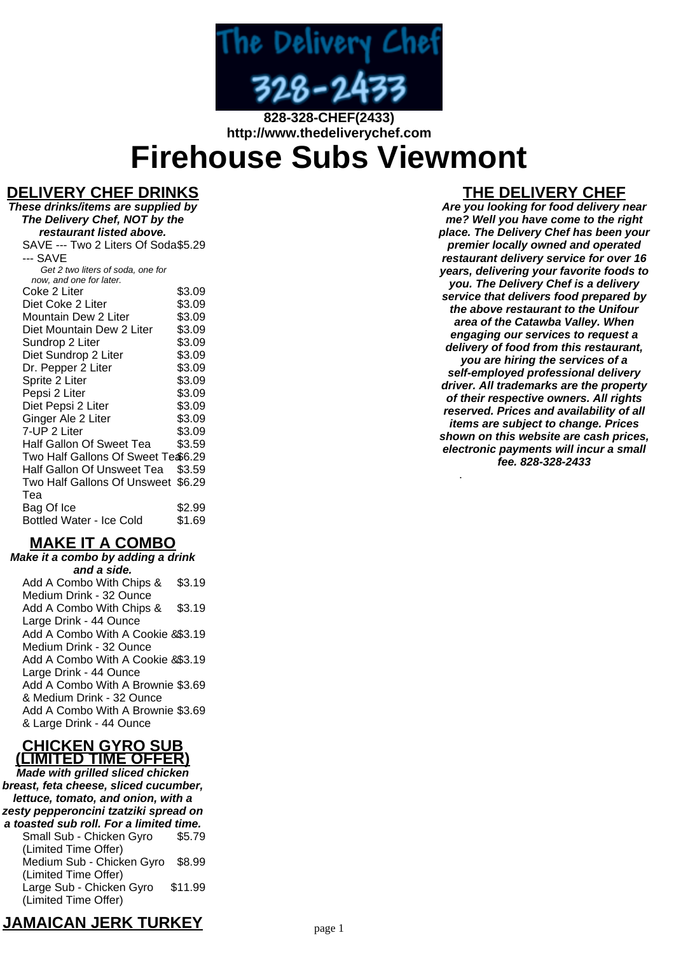

**828-328-CHEF(2433) http://www.thedeliverychef.com**

# **Firehouse Subs Viewmont**

## **DELIVERY CHEF DRINKS**

**These drinks/items are supplied by The Delivery Chef, NOT by the restaurant listed above.** SAVE --- Two 2 Liters Of Soda \$5.29 --- SAVE Get 2 two liters of soda, one for now, and one for later. Coke 2 Liter \$3.09<br>Diet Coke 2 Liter \$3.09 Diet Coke 2 Liter \$3.09<br>Mountain Dew 2 Liter \$3.09 Mountain Dew 2 Liter \$3.09<br>Diet Mountain Dew 2 Liter \$3.09 Diet Mountain Dew 2 Liter \$3.09<br>Sundrop 2 Liter \$3.09 Sundrop 2 Liter Diet Sundrop 2 Liter \$3.09 Dr. Pepper 2 Liter \$3.09 Sprite 2 Liter \$3.09 Pepsi 2 Liter \$3.09 Diet Pepsi 2 Liter \$3.09 Ginger Ale 2 Liter \$3.09 7-UP 2 Liter \$3.09 Half Gallon Of Sweet Tea \$3.59 Two Half Gallons Of Sweet Te \$6.29 Half Gallon Of Unsweet Tea \$3.59 Two Half Gallons Of Unsweet \$6.29 Tea Bag Of Ice \$2.99 Bottled Water - Ice Cold \$1.69

## **MAKE IT A COMBO**

**Make it a combo by adding a drink and a side.** Add A Combo With Chips & Medium Drink - 32 Ounce \$3.19 Add A Combo With Chips & Large Drink - 44 Ounce \$3.19 Add A Combo With A Cookie & \$3.19 Medium Drink - 32 Ounce Add A Combo With A Cookie & \$3.19 Large Drink - 44 Ounce Add A Combo With A Brownie \$3.69 & Medium Drink - 32 Ounce Add A Combo With A Brownie \$3.69 & Large Drink - 44 Ounce

#### **CHICKEN GYRO SUB (LIMITED TIME OFFER)**

**Made with grilled sliced chicken breast, feta cheese, sliced cucumber, lettuce, tomato, and onion, with a zesty pepperoncini tzatziki spread on a toasted sub roll. For a limited time.** Small Sub - Chicken Gyro (Limited Time Offer) \$5.79 Medium Sub - Chicken Gyro (Limited Time Offer) \$8.99 Large Sub - Chicken Gyro (Limited Time Offer) \$11.99

# **THE DELIVERY CHEF**

**Are you looking for food delivery near me? Well you have come to the right place. The Delivery Chef has been your premier locally owned and operated restaurant delivery service for over 16 years, delivering your favorite foods to you. The Delivery Chef is a delivery service that delivers food prepared by the above restaurant to the Unifour area of the Catawba Valley. When engaging our services to request a delivery of food from this restaurant, you are hiring the services of a self-employed professional delivery driver. All trademarks are the property of their respective owners. All rights reserved. Prices and availability of all items are subject to change. Prices shown on this website are cash prices, electronic payments will incur a small fee. 828-328-2433**

.

# **JAMAICAN JERK TURKEY**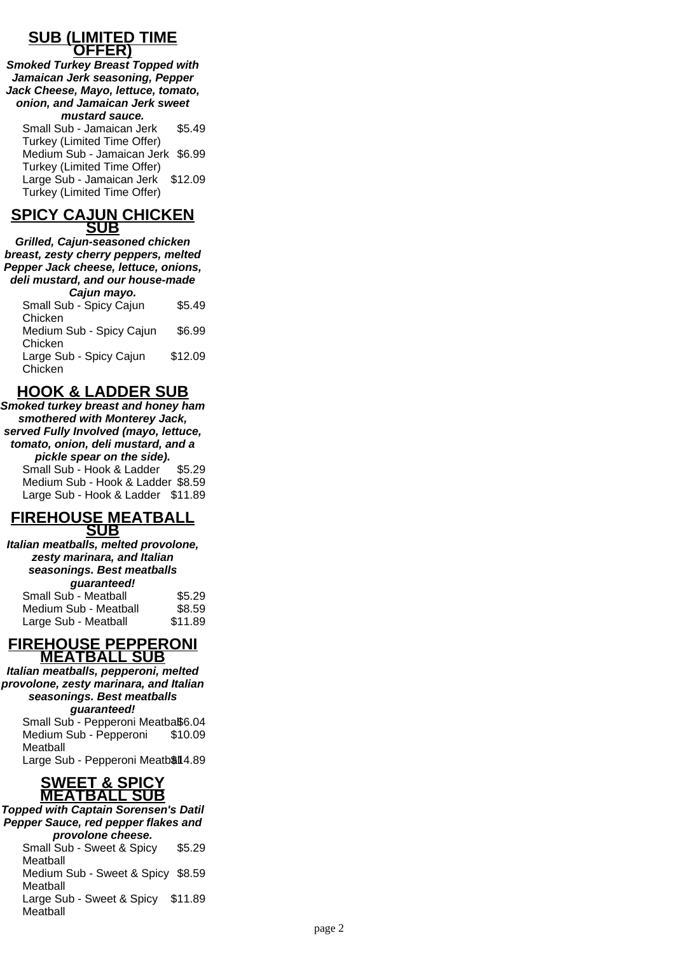#### **SUB (LIMITED TIME OFFER)**

**Smoked Turkey Breast Topped with Jamaican Jerk seasoning, Pepper Jack Cheese, Mayo, lettuce, tomato, onion, and Jamaican Jerk sweet mustard sauce.**

Small Sub - Jamaican Jerk Turkey (Limited Time Offer) \$5.49 Medium Sub - Jamaican Jerk \$6.99 Turkey (Limited Time Offer) Large Sub - Jamaican Jerk Turkey (Limited Time Offer) \$12.09

#### **SPICY CAJUN CHICKEN SUB**

**Grilled, Cajun-seasoned chicken breast, zesty cherry peppers, melted Pepper Jack cheese, lettuce, onions, deli mustard, and our house-made Cajun mayo.**

| Small Sub - Spicy Cajun  | \$5.49  |
|--------------------------|---------|
| Chicken                  |         |
| Medium Sub - Spicy Cajun | \$6.99  |
| Chicken                  |         |
| Large Sub - Spicy Cajun  | \$12.09 |
| Chicken                  |         |

# **HOOK & LADDER SUB**

**Smoked turkey breast and honey ham smothered with Monterey Jack, served Fully Involved (mayo, lettuce, tomato, onion, deli mustard, and a pickle spear on the side).** Small Sub - Hook & Ladder \$5.29 Medium Sub - Hook & Ladder \$8.59 Large Sub - Hook & Ladder \$11.89

#### **FIREHOUSE MEATBALL SUB**

**Italian meatballs, melted provolone, zesty marinara, and Italian seasonings. Best meatballs guaranteed!**

| Small Sub - Meatball  | \$5.29  |
|-----------------------|---------|
| Medium Sub - Meatball | \$8.59  |
| Large Sub - Meatball  | \$11.89 |

#### **FIREHOUSE PEPPERONI MEATBALL SUB**

**Italian meatballs, pepperoni, melted provolone, zesty marinara, and Italian seasonings. Best meatballs guaranteed!** Small Sub - Pepperoni Meatbaß6.04 Medium Sub - Pepperoni **Meatball** \$10.09

Large Sub - Pepperoni Meatb\$l14.89



**Topped with Captain Sorensen's Datil Pepper Sauce, red pepper flakes and provolone cheese.**

Small Sub - Sweet & Spicy Meatball \$5.29 Medium Sub - Sweet & Spicy \$8.59 Meatball Large Sub - Sweet & Spicy \$11.89 Meatball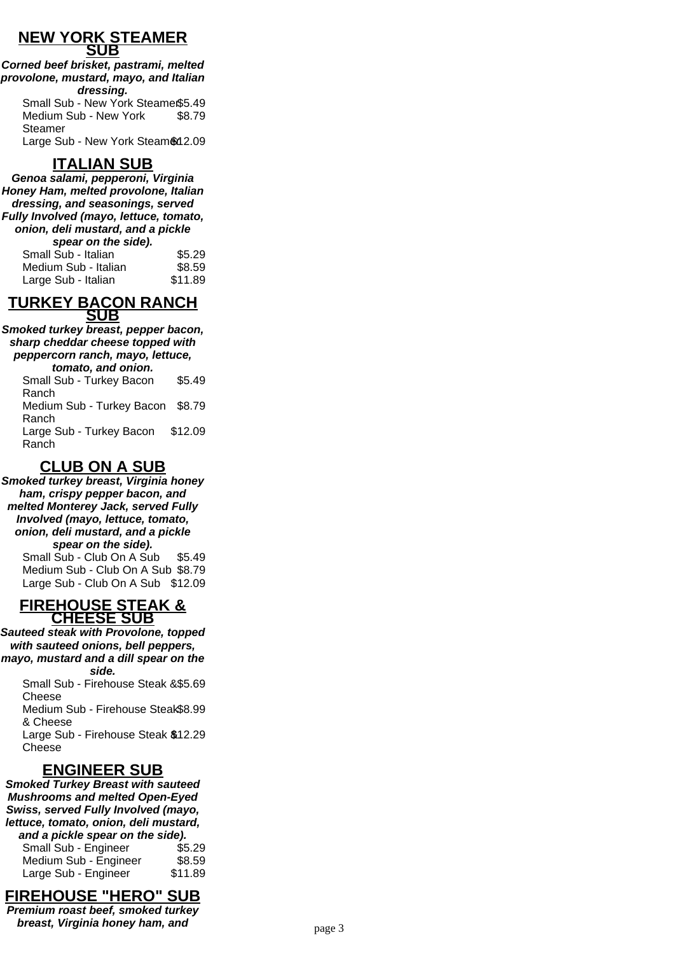#### **NEW YORK STEAMER SUB**

**Corned beef brisket, pastrami, melted provolone, mustard, mayo, and Italian dressing.** Small Sub - New York Steamer\$5.49 Medium Sub - New York Steamer \$8.79

Large Sub - New York Steam \$12.09

# **ITALIAN SUB**

**Genoa salami, pepperoni, Virginia Honey Ham, melted provolone, Italian dressing, and seasonings, served Fully Involved (mayo, lettuce, tomato, onion, deli mustard, and a pickle spear on the side).**

| spear on the side).  |         |
|----------------------|---------|
| Small Sub - Italian  | \$5.29  |
| Medium Sub - Italian | \$8.59  |
| Large Sub - Italian  | \$11.89 |

#### **TURKEY BACON RANCH SUB**

**Smoked turkey breast, pepper bacon, sharp cheddar cheese topped with peppercorn ranch, mayo, lettuce, tomato, and onion.**

Small Sub - Turkey Bacon Ranch \$5.49 Medium Sub - Turkey Bacon Ranch \$8.79 Large Sub - Turkey Bacon Ranch \$12.09

# **CLUB ON A SUB**

**Smoked turkey breast, Virginia honey ham, crispy pepper bacon, and melted Monterey Jack, served Fully Involved (mayo, lettuce, tomato, onion, deli mustard, and a pickle spear on the side).** Small Sub - Club On A Sub \$5.49 Medium Sub - Club On A Sub \$8.79 Large Sub - Club On A Sub \$12.09

#### **FIREHOUSE STEAK & CHEESE SUB**

**Sauteed steak with Provolone, topped with sauteed onions, bell peppers, mayo, mustard and a dill spear on the side.**

Small Sub - Firehouse Steak & \$5.69 Cheese Medium Sub - Firehouse Steak \$8.99 & Cheese Large Sub - Firehouse Steak & \$12.29 Cheese

# **ENGINEER SUB**

**Smoked Turkey Breast with sauteed Mushrooms and melted Open-Eyed Swiss, served Fully Involved (mayo, lettuce, tomato, onion, deli mustard, and a pickle spear on the side).** Small Sub - Engineer \$5.29 Medium Sub - Engineer \$8.59 Large Sub - Engineer \$11.89

# **FIREHOUSE "HERO" SUB**

**Premium roast beef, smoked turkey breast, Virginia honey ham, and** page 3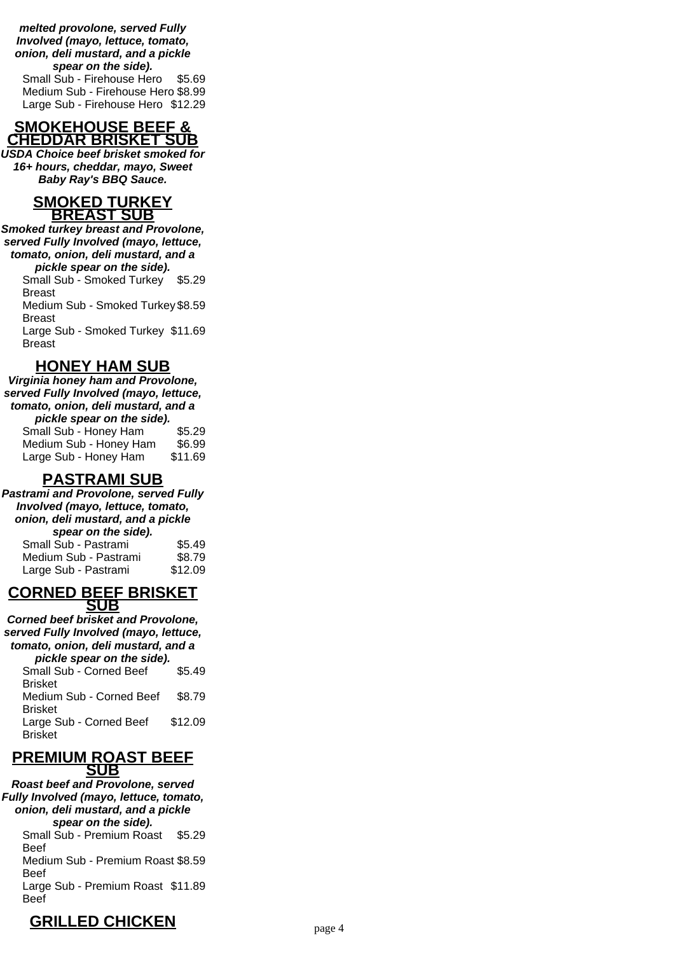**melted provolone, served Fully Involved (mayo, lettuce, tomato, onion, deli mustard, and a pickle spear on the side).** Small Sub - Firehouse Hero \$5.69

Medium Sub - Firehouse Hero \$8.99 Large Sub - Firehouse Hero \$12.29

#### **SMOKEHOUSE BEEF & CHEDDAR BRISKET SUB**

**USDA Choice beef brisket smoked for 16+ hours, cheddar, mayo, Sweet Baby Ray's BBQ Sauce.**

#### **SMOKED TURKEY BREAST SUB**

**Smoked turkey breast and Provolone, served Fully Involved (mayo, lettuce, tomato, onion, deli mustard, and a pickle spear on the side).**

Small Sub - Smoked Turkey \$5.29 Breast Medium Sub - Smoked Turkey \$8.59 Breast

Large Sub - Smoked Turkey \$11.69 Breast

# **HONEY HAM SUB**

**Virginia honey ham and Provolone, served Fully Involved (mayo, lettuce, tomato, onion, deli mustard, and a pickle spear on the side).** Small Sub - Honey Ham \$5.29<br>Medium Sub - Honey Ham \$6.99 Medium Sub - Honey Ham \$6.99

|                       | √ບ.ວວ   |
|-----------------------|---------|
| Large Sub - Honey Ham | \$11.69 |
|                       |         |

# **PASTRAMI SUB**

**Pastrami and Provolone, served Fully Involved (mayo, lettuce, tomato, onion, deli mustard, and a pickle spear on the side).** Small Sub - Pastrami \$5.49 Medium Sub - Pastrami \$8.79

|            | <b>CORNED BEEF BRISKET</b> |
|------------|----------------------------|
| <b>SUB</b> |                            |

Large Sub - Pastrami \$12.09

**Corned beef brisket and Provolone, served Fully Involved (mayo, lettuce, tomato, onion, deli mustard, and a pickle spear on the side).**

Small Sub - Corned Beef Brisket \$5.49 Medium Sub - Corned Beef Brisket \$8.79 Large Sub - Corned Beef Brisket \$12.09

#### **PREMIUM ROAST BEEF SUB**

**Roast beef and Provolone, served Fully Involved (mayo, lettuce, tomato, onion, deli mustard, and a pickle spear on the side).** Small Sub - Premium Roast Beef \$5.29 Medium Sub - Premium Roast \$8.59 Beef Large Sub - Premium Roast \$11.89 Beef

# **GRILLED CHICKEN** page 4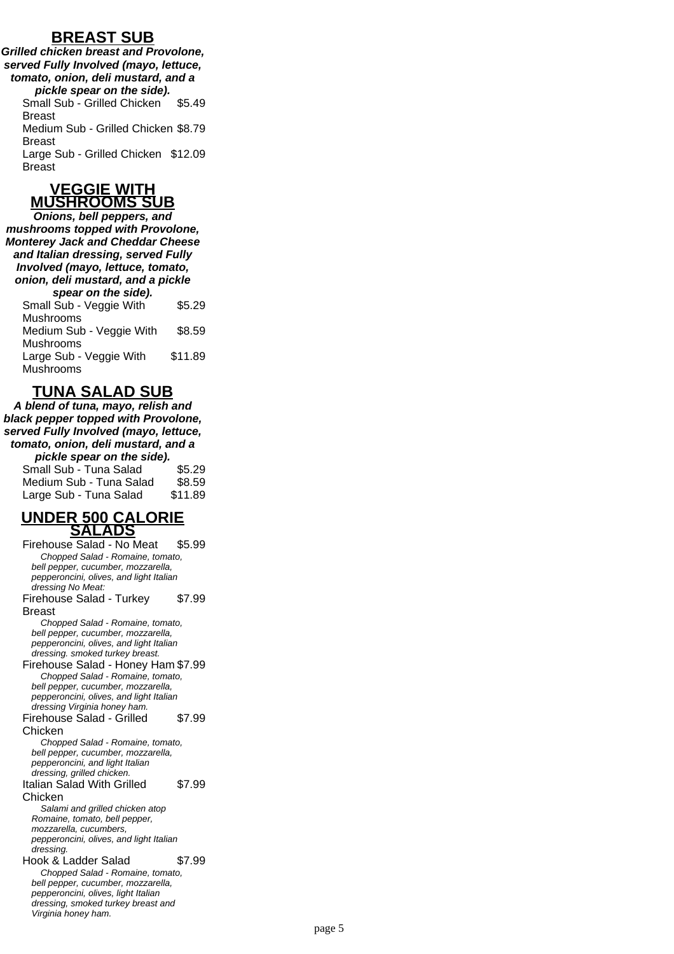## **BREAST SUB**

**Grilled chicken breast and Provolone, served Fully Involved (mayo, lettuce, tomato, onion, deli mustard, and a pickle spear on the side).** Small Sub - Grilled Chicken Breast \$5.49 Medium Sub - Grilled Chicken \$8.79 Breast Large Sub - Grilled Chicken \$12.09

Breast

#### **VEGGIE WITH MUSHROOMS SUB**

**Onions, bell peppers, and mushrooms topped with Provolone, Monterey Jack and Cheddar Cheese and Italian dressing, served Fully Involved (mayo, lettuce, tomato, onion, deli mustard, and a pickle spear on the side).** Small Sub - Veggie With Mushrooms \$5.29 Medium Sub - Veggie With Mushrooms \$8.59 Large Sub - Veggie With Mushrooms \$11.89

# **TUNA SALAD SUB**

**A blend of tuna, mayo, relish and black pepper topped with Provolone, served Fully Involved (mayo, lettuce, tomato, onion, deli mustard, and a pickle spear on the side).** Small Sub - Tuna Salad \$5.29

| Medium Sub - Tuna Salad | \$8.59  |
|-------------------------|---------|
| Large Sub - Tuna Salad  | \$11.89 |

#### **UNDER 500 CALORIE SALADS**

Firehouse Salad - No Meat \$5.99 Chopped Salad - Romaine, tomato, bell pepper, cucumber, mozzarella, pepperoncini, olives, and light Italian dressing No Meat: Firehouse Salad - Turkey Breast \$7.99 Chopped Salad - Romaine, tomato, bell pepper, cucumber, mozzarella, pepperoncini, olives, and light Italian dressing. smoked turkey breast. Firehouse Salad - Honey Ham \$7.99 Chopped Salad - Romaine, tomato, bell pepper, cucumber, mozzarella, pepperoncini, olives, and light Italian dressing Virginia honey ham. Firehouse Salad - Grilled Chicken \$7.99 Chopped Salad - Romaine, tomato, bell pepper, cucumber, mozzarella, pepperoncini, and light Italian dressing, grilled chicken. Italian Salad With Grilled Chicken \$7.99 Salami and grilled chicken atop Romaine, tomato, bell pepper, mozzarella, cucumbers, pepperoncini, olives, and light Italian dressing. Hook & Ladder Salad \$7.99 Chopped Salad - Romaine, tomato, bell pepper, cucumber, mozzarella, pepperoncini, olives, light Italian dressing, smoked turkey breast and Virginia honey ham.